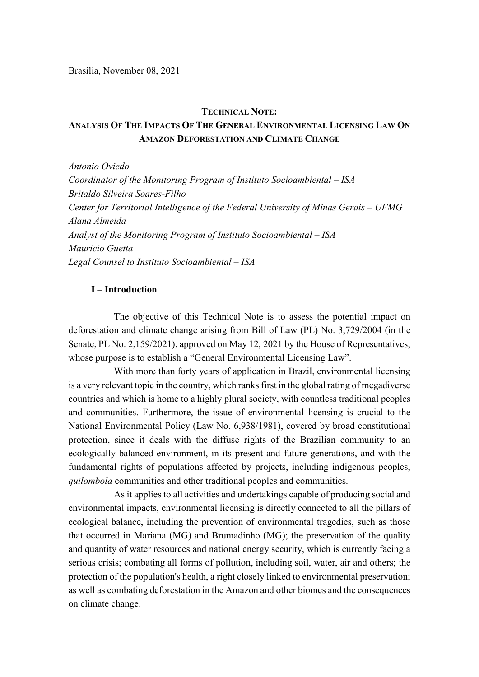#### TECHNICAL NOTE:

# ANALYSIS OF THE IMPACTS OF THE GENERAL ENVIRONMENTAL LICENSING LAW ON AMAZON DEFORESTATION AND CLIMATE CHANGE

Antonio Oviedo Coordinator of the Monitoring Program of Instituto Socioambiental – ISA Britaldo Silveira Soares-Filho Center for Territorial Intelligence of the Federal University of Minas Gerais – UFMG Alana Almeida Analyst of the Monitoring Program of Instituto Socioambiental – ISA Mauricio Guetta Legal Counsel to Instituto Socioambiental – ISA

### I – Introduction

The objective of this Technical Note is to assess the potential impact on deforestation and climate change arising from Bill of Law (PL) No. 3,729/2004 (in the Senate, PL No. 2,159/2021), approved on May 12, 2021 by the House of Representatives, whose purpose is to establish a "General Environmental Licensing Law".

With more than forty years of application in Brazil, environmental licensing is a very relevant topic in the country, which ranks first in the global rating of megadiverse countries and which is home to a highly plural society, with countless traditional peoples and communities. Furthermore, the issue of environmental licensing is crucial to the National Environmental Policy (Law No. 6,938/1981), covered by broad constitutional protection, since it deals with the diffuse rights of the Brazilian community to an ecologically balanced environment, in its present and future generations, and with the fundamental rights of populations affected by projects, including indigenous peoples, quilombola communities and other traditional peoples and communities.

As it applies to all activities and undertakings capable of producing social and environmental impacts, environmental licensing is directly connected to all the pillars of ecological balance, including the prevention of environmental tragedies, such as those that occurred in Mariana (MG) and Brumadinho (MG); the preservation of the quality and quantity of water resources and national energy security, which is currently facing a serious crisis; combating all forms of pollution, including soil, water, air and others; the protection of the population's health, a right closely linked to environmental preservation; as well as combating deforestation in the Amazon and other biomes and the consequences on climate change.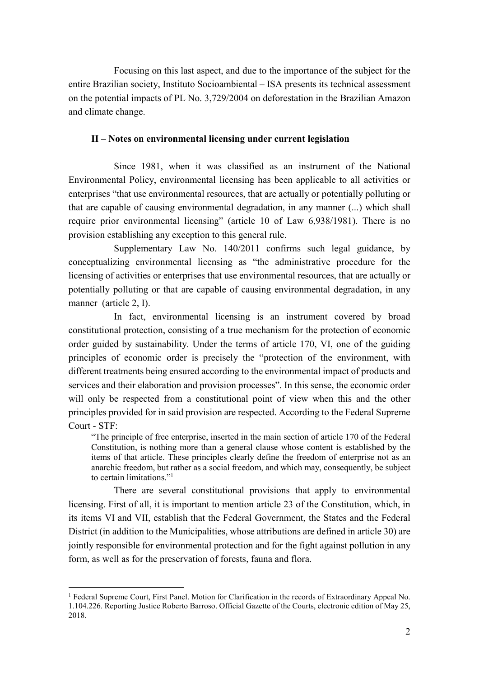Focusing on this last aspect, and due to the importance of the subject for the entire Brazilian society, Instituto Socioambiental – ISA presents its technical assessment on the potential impacts of PL No. 3,729/2004 on deforestation in the Brazilian Amazon and climate change.

## II – Notes on environmental licensing under current legislation

Since 1981, when it was classified as an instrument of the National Environmental Policy, environmental licensing has been applicable to all activities or enterprises "that use environmental resources, that are actually or potentially polluting or that are capable of causing environmental degradation, in any manner (...) which shall require prior environmental licensing" (article 10 of Law 6,938/1981). There is no provision establishing any exception to this general rule.

Supplementary Law No. 140/2011 confirms such legal guidance, by conceptualizing environmental licensing as "the administrative procedure for the licensing of activities or enterprises that use environmental resources, that are actually or potentially polluting or that are capable of causing environmental degradation, in any manner (article 2, I).

In fact, environmental licensing is an instrument covered by broad constitutional protection, consisting of a true mechanism for the protection of economic order guided by sustainability. Under the terms of article 170, VI, one of the guiding principles of economic order is precisely the "protection of the environment, with different treatments being ensured according to the environmental impact of products and services and their elaboration and provision processes". In this sense, the economic order will only be respected from a constitutional point of view when this and the other principles provided for in said provision are respected. According to the Federal Supreme Court - STF:

"The principle of free enterprise, inserted in the main section of article 170 of the Federal Constitution, is nothing more than a general clause whose content is established by the items of that article. These principles clearly define the freedom of enterprise not as an anarchic freedom, but rather as a social freedom, and which may, consequently, be subject to certain limitations."<sup>1</sup>

There are several constitutional provisions that apply to environmental licensing. First of all, it is important to mention article 23 of the Constitution, which, in its items VI and VII, establish that the Federal Government, the States and the Federal District (in addition to the Municipalities, whose attributions are defined in article 30) are jointly responsible for environmental protection and for the fight against pollution in any form, as well as for the preservation of forests, fauna and flora.

<sup>&</sup>lt;sup>1</sup> Federal Supreme Court, First Panel. Motion for Clarification in the records of Extraordinary Appeal No. 1.104.226. Reporting Justice Roberto Barroso. Official Gazette of the Courts, electronic edition of May 25, 2018.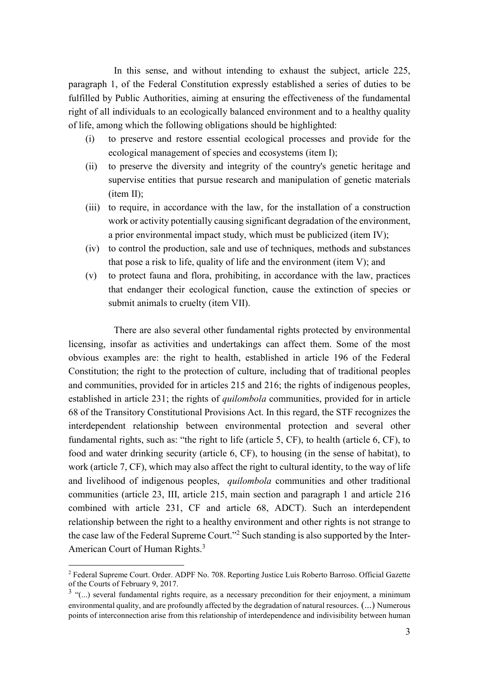In this sense, and without intending to exhaust the subject, article 225, paragraph 1, of the Federal Constitution expressly established a series of duties to be fulfilled by Public Authorities, aiming at ensuring the effectiveness of the fundamental right of all individuals to an ecologically balanced environment and to a healthy quality of life, among which the following obligations should be highlighted:

- (i) to preserve and restore essential ecological processes and provide for the ecological management of species and ecosystems (item I);
- (ii) to preserve the diversity and integrity of the country's genetic heritage and supervise entities that pursue research and manipulation of genetic materials (item II);
- (iii) to require, in accordance with the law, for the installation of a construction work or activity potentially causing significant degradation of the environment, a prior environmental impact study, which must be publicized (item IV);
- (iv) to control the production, sale and use of techniques, methods and substances that pose a risk to life, quality of life and the environment (item V); and
- (v) to protect fauna and flora, prohibiting, in accordance with the law, practices that endanger their ecological function, cause the extinction of species or submit animals to cruelty (item VII).

There are also several other fundamental rights protected by environmental licensing, insofar as activities and undertakings can affect them. Some of the most obvious examples are: the right to health, established in article 196 of the Federal Constitution; the right to the protection of culture, including that of traditional peoples and communities, provided for in articles 215 and 216; the rights of indigenous peoples, established in article 231; the rights of *quilombola* communities, provided for in article 68 of the Transitory Constitutional Provisions Act. In this regard, the STF recognizes the interdependent relationship between environmental protection and several other fundamental rights, such as: "the right to life (article 5, CF), to health (article 6, CF), to food and water drinking security (article 6, CF), to housing (in the sense of habitat), to work (article 7, CF), which may also affect the right to cultural identity, to the way of life and livelihood of indigenous peoples, *quilombola* communities and other traditional communities (article 23, III, article 215, main section and paragraph 1 and article 216 combined with article 231, CF and article 68, ADCT). Such an interdependent relationship between the right to a healthy environment and other rights is not strange to the case law of the Federal Supreme Court."<sup>2</sup> Such standing is also supported by the Inter-American Court of Human Rights.<sup>3</sup>

<sup>2</sup> Federal Supreme Court. Order. ADPF No. 708. Reporting Justice Luís Roberto Barroso. Official Gazette of the Courts of February 9, 2017.

 $3$  "(...) several fundamental rights require, as a necessary precondition for their enjoyment, a minimum environmental quality, and are profoundly affected by the degradation of natural resources. (...) Numerous points of interconnection arise from this relationship of interdependence and indivisibility between human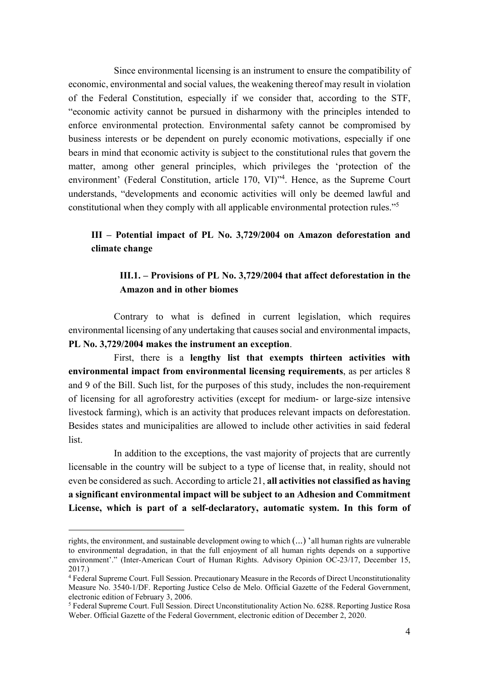Since environmental licensing is an instrument to ensure the compatibility of economic, environmental and social values, the weakening thereof may result in violation of the Federal Constitution, especially if we consider that, according to the STF, "economic activity cannot be pursued in disharmony with the principles intended to enforce environmental protection. Environmental safety cannot be compromised by business interests or be dependent on purely economic motivations, especially if one bears in mind that economic activity is subject to the constitutional rules that govern the matter, among other general principles, which privileges the 'protection of the environment' (Federal Constitution, article 170, VI)<sup>\*4</sup>. Hence, as the Supreme Court understands, "developments and economic activities will only be deemed lawful and constitutional when they comply with all applicable environmental protection rules."<sup>5</sup>

# III – Potential impact of PL No. 3,729/2004 on Amazon deforestation and climate change

## III.1. – Provisions of PL No. 3,729/2004 that affect deforestation in the Amazon and in other biomes

Contrary to what is defined in current legislation, which requires environmental licensing of any undertaking that causes social and environmental impacts, PL No. 3,729/2004 makes the instrument an exception.

First, there is a lengthy list that exempts thirteen activities with environmental impact from environmental licensing requirements, as per articles 8 and 9 of the Bill. Such list, for the purposes of this study, includes the non-requirement of licensing for all agroforestry activities (except for medium- or large-size intensive livestock farming), which is an activity that produces relevant impacts on deforestation. Besides states and municipalities are allowed to include other activities in said federal list.

In addition to the exceptions, the vast majority of projects that are currently licensable in the country will be subject to a type of license that, in reality, should not even be considered as such. According to article 21, all activities not classified as having a significant environmental impact will be subject to an Adhesion and Commitment License, which is part of a self-declaratory, automatic system. In this form of

rights, the environment, and sustainable development owing to which (...) 'all human rights are vulnerable to environmental degradation, in that the full enjoyment of all human rights depends on a supportive environment'." (Inter-American Court of Human Rights. Advisory Opinion OC-23/17, December 15, 2017.)

<sup>4</sup> Federal Supreme Court. Full Session. Precautionary Measure in the Records of Direct Unconstitutionality Measure No. 3540-1/DF. Reporting Justice Celso de Melo. Official Gazette of the Federal Government, electronic edition of February 3, 2006.

<sup>&</sup>lt;sup>5</sup> Federal Supreme Court. Full Session. Direct Unconstitutionality Action No. 6288. Reporting Justice Rosa Weber. Official Gazette of the Federal Government, electronic edition of December 2, 2020.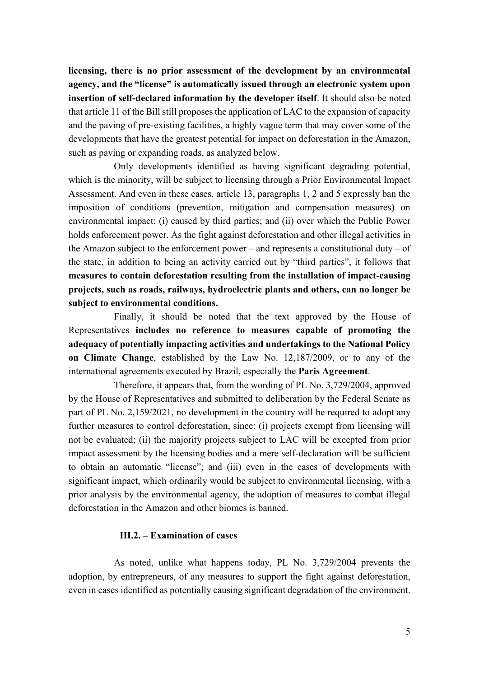licensing, there is no prior assessment of the development by an environmental agency, and the "license" is automatically issued through an electronic system upon insertion of self-declared information by the developer itself. It should also be noted that article 11 of the Bill still proposes the application of LAC to the expansion of capacity and the paving of pre-existing facilities, a highly vague term that may cover some of the developments that have the greatest potential for impact on deforestation in the Amazon, such as paving or expanding roads, as analyzed below.

Only developments identified as having significant degrading potential, which is the minority, will be subject to licensing through a Prior Environmental Impact Assessment. And even in these cases, article 13, paragraphs 1, 2 and 5 expressly ban the imposition of conditions (prevention, mitigation and compensation measures) on environmental impact: (i) caused by third parties; and (ii) over which the Public Power holds enforcement power. As the fight against deforestation and other illegal activities in the Amazon subject to the enforcement power – and represents a constitutional duty – of the state, in addition to being an activity carried out by "third parties", it follows that measures to contain deforestation resulting from the installation of impact-causing projects, such as roads, railways, hydroelectric plants and others, can no longer be subject to environmental conditions.

Finally, it should be noted that the text approved by the House of Representatives includes no reference to measures capable of promoting the adequacy of potentially impacting activities and undertakings to the National Policy on Climate Change, established by the Law No. 12,187/2009, or to any of the international agreements executed by Brazil, especially the Paris Agreement.

Therefore, it appears that, from the wording of PL No. 3,729/2004, approved by the House of Representatives and submitted to deliberation by the Federal Senate as part of PL No. 2,159/2021, no development in the country will be required to adopt any further measures to control deforestation, since: (i) projects exempt from licensing will not be evaluated; (ii) the majority projects subject to LAC will be excepted from prior impact assessment by the licensing bodies and a mere self-declaration will be sufficient to obtain an automatic "license"; and (iii) even in the cases of developments with significant impact, which ordinarily would be subject to environmental licensing, with a prior analysis by the environmental agency, the adoption of measures to combat illegal deforestation in the Amazon and other biomes is banned.

### III.2. – Examination of cases

As noted, unlike what happens today, PL No. 3,729/2004 prevents the adoption, by entrepreneurs, of any measures to support the fight against deforestation, even in cases identified as potentially causing significant degradation of the environment.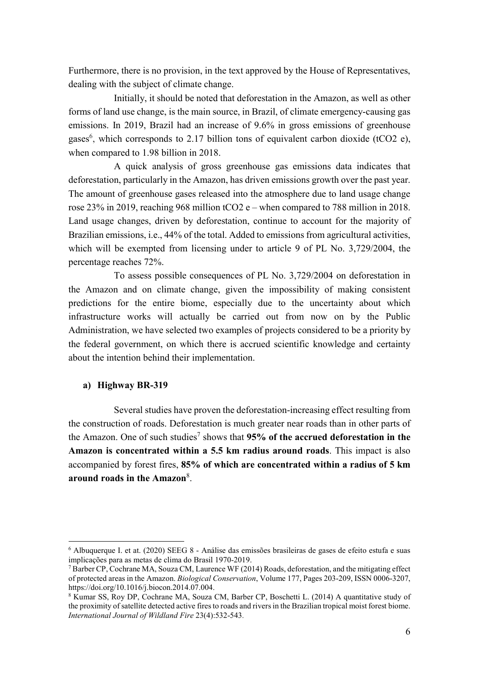Furthermore, there is no provision, in the text approved by the House of Representatives, dealing with the subject of climate change.

Initially, it should be noted that deforestation in the Amazon, as well as other forms of land use change, is the main source, in Brazil, of climate emergency-causing gas emissions. In 2019, Brazil had an increase of 9.6% in gross emissions of greenhouse gases<sup>6</sup>, which corresponds to 2.17 billion tons of equivalent carbon dioxide (tCO2 e), when compared to 1.98 billion in 2018.

A quick analysis of gross greenhouse gas emissions data indicates that deforestation, particularly in the Amazon, has driven emissions growth over the past year. The amount of greenhouse gases released into the atmosphere due to land usage change rose 23% in 2019, reaching 968 million tCO2 e – when compared to 788 million in 2018. Land usage changes, driven by deforestation, continue to account for the majority of Brazilian emissions, i.e., 44% of the total. Added to emissions from agricultural activities, which will be exempted from licensing under to article 9 of PL No. 3,729/2004, the percentage reaches 72%.

To assess possible consequences of PL No. 3,729/2004 on deforestation in the Amazon and on climate change, given the impossibility of making consistent predictions for the entire biome, especially due to the uncertainty about which infrastructure works will actually be carried out from now on by the Public Administration, we have selected two examples of projects considered to be a priority by the federal government, on which there is accrued scientific knowledge and certainty about the intention behind their implementation.

### a) Highway BR-319

-

Several studies have proven the deforestation-increasing effect resulting from the construction of roads. Deforestation is much greater near roads than in other parts of the Amazon. One of such studies<sup>7</sup> shows that 95% of the accrued deforestation in the Amazon is concentrated within a 5.5 km radius around roads. This impact is also accompanied by forest fires, 85% of which are concentrated within a radius of 5 km around roads in the Amazon<sup>8</sup>.

<sup>6</sup> Albuquerque I. et at. (2020) SEEG 8 - Análise das emissões brasileiras de gases de efeito estufa e suas implicações para as metas de clima do Brasil 1970-2019.

<sup>&</sup>lt;sup>7</sup> Barber CP, Cochrane MA, Souza CM, Laurence WF (2014) Roads, deforestation, and the mitigating effect of protected areas in the Amazon. Biological Conservation, Volume 177, Pages 203-209, ISSN 0006-3207, https://doi.org/10.1016/j.biocon.2014.07.004.

<sup>&</sup>lt;sup>8</sup> Kumar SS, Roy DP, Cochrane MA, Souza CM, Barber CP, Boschetti L. (2014) A quantitative study of the proximity of satellite detected active fires to roads and rivers in the Brazilian tropical moist forest biome. International Journal of Wildland Fire 23(4):532-543.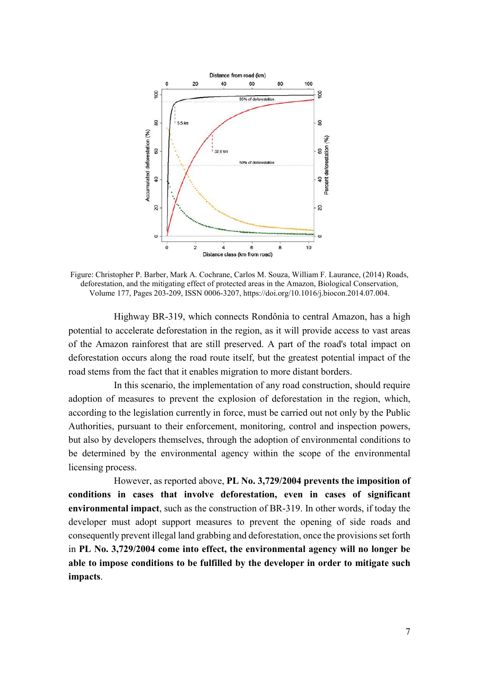

Figure: Christopher P. Barber, Mark A. Cochrane, Carlos M. Souza, William F. Laurance, (2014) Roads, deforestation, and the mitigating effect of protected areas in the Amazon, Biological Conservation, Volume 177, Pages 203-209, ISSN 0006-3207, https://doi.org/10.1016/j.biocon.2014.07.004.

Highway BR-319, which connects Rondônia to central Amazon, has a high potential to accelerate deforestation in the region, as it will provide access to vast areas of the Amazon rainforest that are still preserved. A part of the road's total impact on deforestation occurs along the road route itself, but the greatest potential impact of the road stems from the fact that it enables migration to more distant borders.

In this scenario, the implementation of any road construction, should require adoption of measures to prevent the explosion of deforestation in the region, which, according to the legislation currently in force, must be carried out not only by the Public Authorities, pursuant to their enforcement, monitoring, control and inspection powers, but also by developers themselves, through the adoption of environmental conditions to be determined by the environmental agency within the scope of the environmental licensing process.

However, as reported above, PL No. 3,729/2004 prevents the imposition of conditions in cases that involve deforestation, even in cases of significant environmental impact, such as the construction of BR-319. In other words, if today the developer must adopt support measures to prevent the opening of side roads and consequently prevent illegal land grabbing and deforestation, once the provisions set forth in PL No. 3,729/2004 come into effect, the environmental agency will no longer be able to impose conditions to be fulfilled by the developer in order to mitigate such impacts.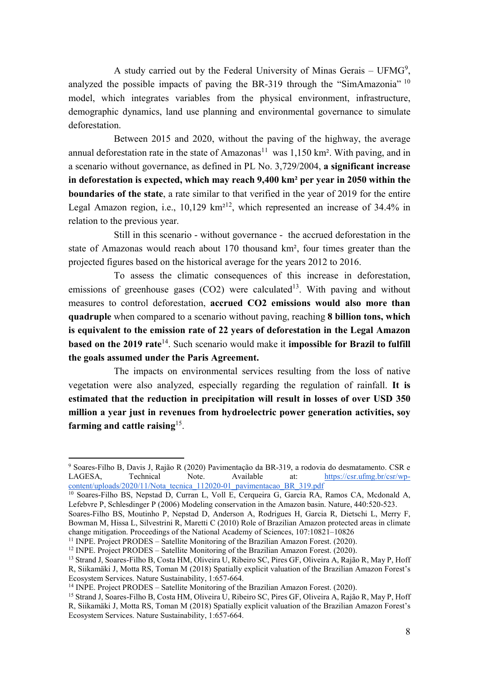A study carried out by the Federal University of Minas Gerais - UFMG<sup>9</sup>, analyzed the possible impacts of paving the BR-319 through the "SimAmazonia"  $10$ model, which integrates variables from the physical environment, infrastructure, demographic dynamics, land use planning and environmental governance to simulate deforestation.

Between 2015 and 2020, without the paving of the highway, the average annual deforestation rate in the state of Amazonas<sup>11</sup> was  $1,150 \text{ km}^2$ . With paving, and in a scenario without governance, as defined in PL No. 3,729/2004, a significant increase in deforestation is expected, which may reach 9,400 km² per year in 2050 within the boundaries of the state, a rate similar to that verified in the year of 2019 for the entire Legal Amazon region, i.e.,  $10,129 \text{ km}^{212}$ , which represented an increase of 34.4% in relation to the previous year.

Still in this scenario - without governance - the accrued deforestation in the state of Amazonas would reach about 170 thousand km², four times greater than the projected figures based on the historical average for the years 2012 to 2016.

To assess the climatic consequences of this increase in deforestation, emissions of greenhouse gases  $(CO2)$  were calculated<sup>13</sup>. With paving and without measures to control deforestation, accrued CO2 emissions would also more than quadruple when compared to a scenario without paving, reaching 8 billion tons, which is equivalent to the emission rate of 22 years of deforestation in the Legal Amazon based on the 2019 rate<sup>14</sup>. Such scenario would make it impossible for Brazil to fulfill the goals assumed under the Paris Agreement.

The impacts on environmental services resulting from the loss of native vegetation were also analyzed, especially regarding the regulation of rainfall. It is estimated that the reduction in precipitation will result in losses of over USD 350 million a year just in revenues from hydroelectric power generation activities, soy farming and cattle raising<sup>15</sup>.

<sup>10</sup> Soares-Filho BS, Nepstad D, Curran L, Voll E, Cerqueira G, Garcia RA, Ramos CA, Mcdonald A, Lefebvre P, Schlesdinger P (2006) Modeling conservation in the Amazon basin. Nature, 440:520-523.

<sup>9</sup> Soares-Filho B, Davis J, Rajão R (2020) Pavimentação da BR-319, a rodovia do desmatamento. CSR e LAGESA, Technical Note. Available at: https://csr.ufmg.br/csr/wpcontent/uploads/2020/11/Nota\_tecnica\_112020-01\_pavimentacao\_BR\_319.pdf

Soares-Filho BS, Moutinho P, Nepstad D, Anderson A, Rodrigues H, Garcia R, Dietschi L, Merry F, Bowman M, Hissa L, Silvestrini R, Maretti C (2010) Role of Brazilian Amazon protected areas in climate change mitigation. Proceedings of the National Academy of Sciences, 107:10821–10826

<sup>&</sup>lt;sup>11</sup> INPE. Project PRODES – Satellite Monitoring of the Brazilian Amazon Forest. (2020).

<sup>&</sup>lt;sup>12</sup> INPE. Project PRODES – Satellite Monitoring of the Brazilian Amazon Forest.  $(2020)$ .

<sup>13</sup> Strand J, Soares-Filho B, Costa HM, Oliveira U, Ribeiro SC, Pires GF, Oliveira A, Rajão R, May P, Hoff

R, Siikamäki J, Motta RS, Toman M (2018) Spatially explicit valuation of the Brazilian Amazon Forest's Ecosystem Services. Nature Sustainability, 1:657-664.

<sup>&</sup>lt;sup>14</sup> INPE. Project PRODES – Satellite Monitoring of the Brazilian Amazon Forest. (2020).

<sup>&</sup>lt;sup>15</sup> Strand J, Soares-Filho B, Costa HM, Oliveira U, Ribeiro SC, Pires GF, Oliveira A, Rajão R, May P, Hoff R, Siikamäki J, Motta RS, Toman M (2018) Spatially explicit valuation of the Brazilian Amazon Forest's Ecosystem Services. Nature Sustainability, 1:657-664.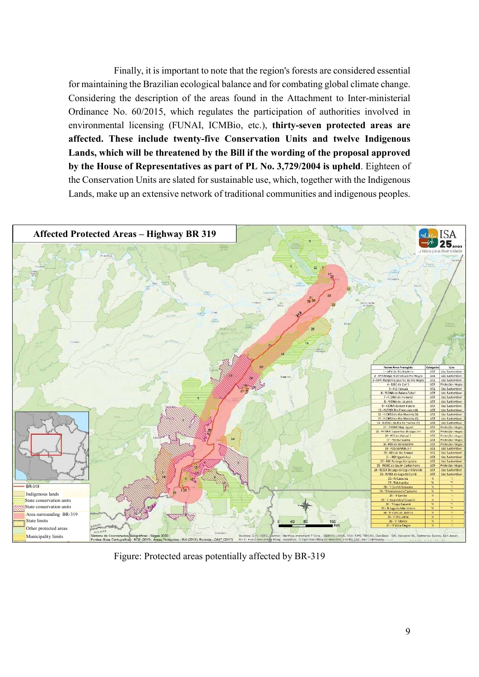Finally, it is important to note that the region's forests are considered essential for maintaining the Brazilian ecological balance and for combating global climate change. Considering the description of the areas found in the Attachment to Inter-ministerial Ordinance No. 60/2015, which regulates the participation of authorities involved in environmental licensing (FUNAI, ICMBio, etc.), thirty-seven protected areas are affected. These include twenty-five Conservation Units and twelve Indigenous Lands, which will be threatened by the Bill if the wording of the proposal approved by the House of Representatives as part of PL No. 3,729/2004 is upheld. Eighteen of the Conservation Units are slated for sustainable use, which, together with the Indigenous Lands, make up an extensive network of traditional communities and indigenous peoples.



Figure: Protected areas potentially affected by BR-319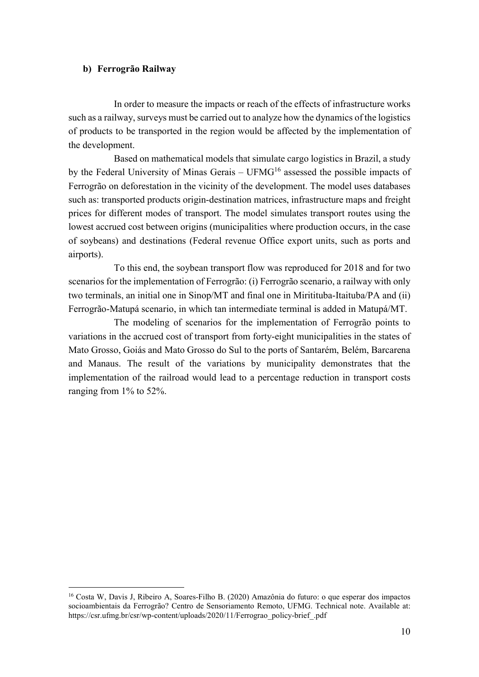### b) Ferrogrão Railway

-

In order to measure the impacts or reach of the effects of infrastructure works such as a railway, surveys must be carried out to analyze how the dynamics of the logistics of products to be transported in the region would be affected by the implementation of the development.

Based on mathematical models that simulate cargo logistics in Brazil, a study by the Federal University of Minas Gerais –  $UFMG<sup>16</sup>$  assessed the possible impacts of Ferrogrão on deforestation in the vicinity of the development. The model uses databases such as: transported products origin-destination matrices, infrastructure maps and freight prices for different modes of transport. The model simulates transport routes using the lowest accrued cost between origins (municipalities where production occurs, in the case of soybeans) and destinations (Federal revenue Office export units, such as ports and airports).

To this end, the soybean transport flow was reproduced for 2018 and for two scenarios for the implementation of Ferrogrão: (i) Ferrogrão scenario, a railway with only two terminals, an initial one in Sinop/MT and final one in Miritituba-Itaituba/PA and (ii) Ferrogrão-Matupá scenario, in which tan intermediate terminal is added in Matupá/MT.

The modeling of scenarios for the implementation of Ferrogrão points to variations in the accrued cost of transport from forty-eight municipalities in the states of Mato Grosso, Goiás and Mato Grosso do Sul to the ports of Santarém, Belém, Barcarena and Manaus. The result of the variations by municipality demonstrates that the implementation of the railroad would lead to a percentage reduction in transport costs ranging from 1% to 52%.

<sup>16</sup> Costa W, Davis J, Ribeiro A, Soares-Filho B. (2020) Amazônia do futuro: o que esperar dos impactos socioambientais da Ferrogrão? Centro de Sensoriamento Remoto, UFMG. Technical note. Available at: https://csr.ufmg.br/csr/wp-content/uploads/2020/11/Ferrograo\_policy-brief\_.pdf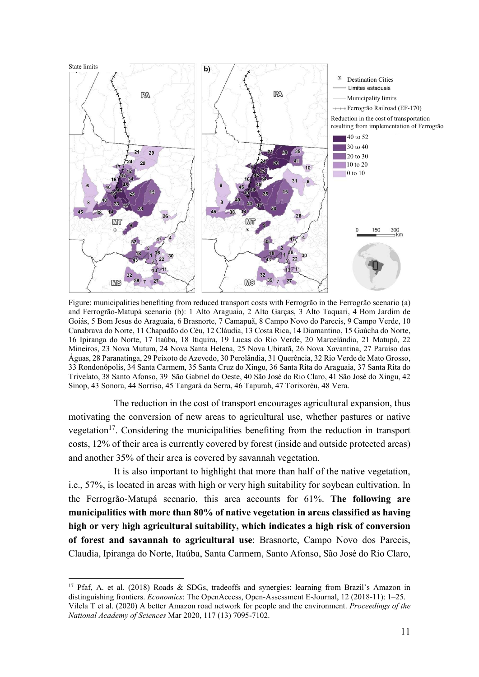

Figure: municipalities benefiting from reduced transport costs with Ferrogrão in the Ferrogrão scenario (a) and Ferrogrão-Matupá scenario (b): 1 Alto Araguaia, 2 Alto Garças, 3 Alto Taquari, 4 Bom Jardim de Goiás, 5 Bom Jesus do Araguaia, 6 Brasnorte, 7 Camapuã, 8 Campo Novo do Parecis, 9 Campo Verde, 10 Canabrava do Norte, 11 Chapadão do Céu, 12 Cláudia, 13 Costa Rica, 14 Diamantino, 15 Gaúcha do Norte, 16 Ipiranga do Norte, 17 Itaúba, 18 Itiquira, 19 Lucas do Rio Verde, 20 Marcelândia, 21 Matupá, 22 Mineiros, 23 Nova Mutum, 24 Nova Santa Helena, 25 Nova Ubiratã, 26 Nova Xavantina, 27 Paraíso das Águas, 28 Paranatinga, 29 Peixoto de Azevedo, 30 Perolândia, 31 Querência, 32 Rio Verde de Mato Grosso, 33 Rondonópolis, 34 Santa Carmem, 35 Santa Cruz do Xingu, 36 Santa Rita do Araguaia, 37 Santa Rita do Trivelato, 38 Santo Afonso, 39 São Gabriel do Oeste, 40 São José do Rio Claro, 41 São José do Xingu, 42 Sinop, 43 Sonora, 44 Sorriso, 45 Tangará da Serra, 46 Tapurah, 47 Torixoréu, 48 Vera.

The reduction in the cost of transport encourages agricultural expansion, thus motivating the conversion of new areas to agricultural use, whether pastures or native vegetation<sup>17</sup>. Considering the municipalities benefiting from the reduction in transport costs, 12% of their area is currently covered by forest (inside and outside protected areas) and another 35% of their area is covered by savannah vegetation.

It is also important to highlight that more than half of the native vegetation, i.e., 57%, is located in areas with high or very high suitability for soybean cultivation. In the Ferrogrão-Matupá scenario, this area accounts for 61%. The following are municipalities with more than 80% of native vegetation in areas classified as having high or very high agricultural suitability, which indicates a high risk of conversion of forest and savannah to agricultural use: Brasnorte, Campo Novo dos Parecis, Claudia, Ipiranga do Norte, Itaúba, Santa Carmem, Santo Afonso, São José do Rio Claro,

<sup>&</sup>lt;sup>17</sup> Pfaf, A. et al. (2018) Roads & SDGs, tradeoffs and synergies: learning from Brazil's Amazon in distinguishing frontiers. *Economics*: The OpenAccess, Open-Assessment E-Journal, 12 (2018-11): 1–25. Vilela T et al. (2020) A better Amazon road network for people and the environment. Proceedings of the National Academy of Sciences Mar 2020, 117 (13) 7095-7102.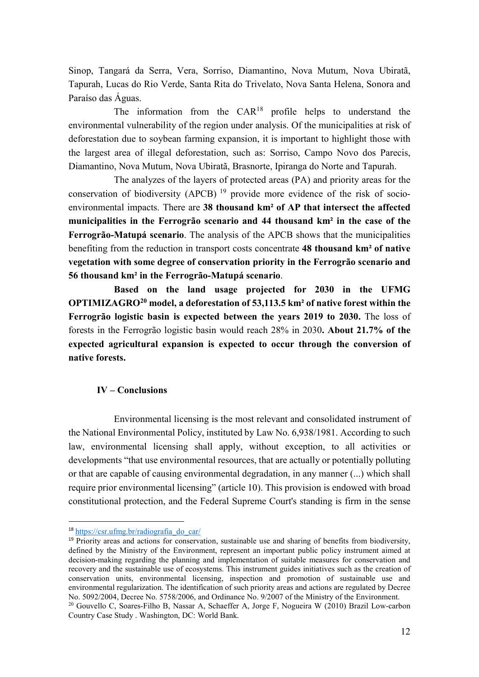Sinop, Tangará da Serra, Vera, Sorriso, Diamantino, Nova Mutum, Nova Ubiratã, Tapurah, Lucas do Rio Verde, Santa Rita do Trivelato, Nova Santa Helena, Sonora and Paraíso das Águas.

The information from the CAR<sup>18</sup> profile helps to understand the environmental vulnerability of the region under analysis. Of the municipalities at risk of deforestation due to soybean farming expansion, it is important to highlight those with the largest area of illegal deforestation, such as: Sorriso, Campo Novo dos Parecis, Diamantino, Nova Mutum, Nova Ubiratã, Brasnorte, Ipiranga do Norte and Tapurah.

The analyzes of the layers of protected areas (PA) and priority areas for the conservation of biodiversity (APCB)<sup>19</sup> provide more evidence of the risk of socioenvironmental impacts. There are 38 thousand km² of AP that intersect the affected municipalities in the Ferrogrão scenario and 44 thousand km² in the case of the Ferrogrão-Matupá scenario. The analysis of the APCB shows that the municipalities benefiting from the reduction in transport costs concentrate 48 thousand km² of native vegetation with some degree of conservation priority in the Ferrogrão scenario and 56 thousand km² in the Ferrogrão-Matupá scenario.

Based on the land usage projected for 2030 in the UFMG OPTIMIZAGRO<sup>20</sup> model, a deforestation of 53,113.5 km<sup>2</sup> of native forest within the Ferrogrão logistic basin is expected between the years 2019 to 2030. The loss of forests in the Ferrogrão logistic basin would reach 28% in 2030. About 21.7% of the expected agricultural expansion is expected to occur through the conversion of native forests.

### IV – Conclusions

Environmental licensing is the most relevant and consolidated instrument of the National Environmental Policy, instituted by Law No. 6,938/1981. According to such law, environmental licensing shall apply, without exception, to all activities or developments "that use environmental resources, that are actually or potentially polluting or that are capable of causing environmental degradation, in any manner (...) which shall require prior environmental licensing" (article 10). This provision is endowed with broad constitutional protection, and the Federal Supreme Court's standing is firm in the sense

<sup>18</sup> https://csr.ufmg.br/radiografia\_do\_car/

<sup>&</sup>lt;sup>19</sup> Priority areas and actions for conservation, sustainable use and sharing of benefits from biodiversity, defined by the Ministry of the Environment, represent an important public policy instrument aimed at decision-making regarding the planning and implementation of suitable measures for conservation and recovery and the sustainable use of ecosystems. This instrument guides initiatives such as the creation of conservation units, environmental licensing, inspection and promotion of sustainable use and environmental regularization. The identification of such priority areas and actions are regulated by Decree No. 5092/2004, Decree No. 5758/2006, and Ordinance No. 9/2007 of the Ministry of the Environment.

<sup>20</sup> Gouvello C, Soares-Filho B, Nassar A, Schaeffer A, Jorge F, Nogueira W (2010) Brazil Low-carbon Country Case Study . Washington, DC: World Bank.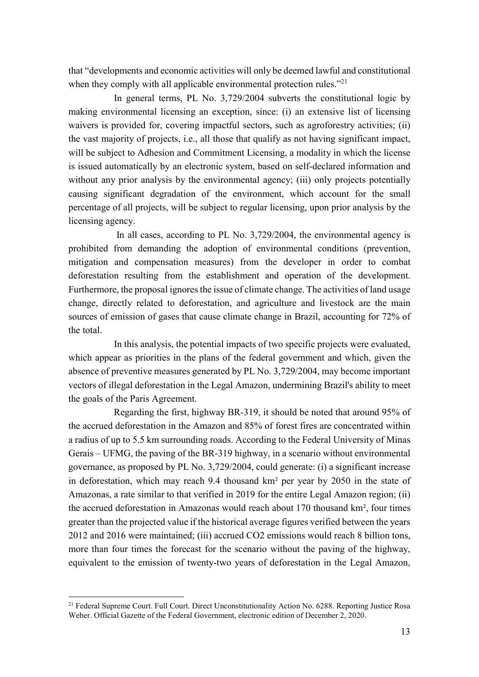that "developments and economic activities will only be deemed lawful and constitutional when they comply with all applicable environmental protection rules."<sup>21</sup>

In general terms, PL No. 3,729/2004 subverts the constitutional logic by making environmental licensing an exception, since: (i) an extensive list of licensing waivers is provided for, covering impactful sectors, such as agroforestry activities; (ii) the vast majority of projects, i.e., all those that qualify as not having significant impact, will be subject to Adhesion and Commitment Licensing, a modality in which the license is issued automatically by an electronic system, based on self-declared information and without any prior analysis by the environmental agency; (iii) only projects potentially causing significant degradation of the environment, which account for the small percentage of all projects, will be subject to regular licensing, upon prior analysis by the licensing agency.

 In all cases, according to PL No. 3,729/2004, the environmental agency is prohibited from demanding the adoption of environmental conditions (prevention, mitigation and compensation measures) from the developer in order to combat deforestation resulting from the establishment and operation of the development. Furthermore, the proposal ignores the issue of climate change. The activities of land usage change, directly related to deforestation, and agriculture and livestock are the main sources of emission of gases that cause climate change in Brazil, accounting for 72% of the total.

In this analysis, the potential impacts of two specific projects were evaluated, which appear as priorities in the plans of the federal government and which, given the absence of preventive measures generated by PL No. 3,729/2004, may become important vectors of illegal deforestation in the Legal Amazon, undermining Brazil's ability to meet the goals of the Paris Agreement.

Regarding the first, highway BR-319, it should be noted that around 95% of the accrued deforestation in the Amazon and 85% of forest fires are concentrated within a radius of up to 5.5 km surrounding roads. According to the Federal University of Minas Gerais – UFMG, the paving of the BR-319 highway, in a scenario without environmental governance, as proposed by PL No. 3,729/2004, could generate: (i) a significant increase in deforestation, which may reach 9.4 thousand km² per year by 2050 in the state of Amazonas, a rate similar to that verified in 2019 for the entire Legal Amazon region; (ii) the accrued deforestation in Amazonas would reach about 170 thousand km², four times greater than the projected value if the historical average figures verified between the years 2012 and 2016 were maintained; (iii) accrued CO2 emissions would reach 8 billion tons, more than four times the forecast for the scenario without the paving of the highway, equivalent to the emission of twenty-two years of deforestation in the Legal Amazon,

<sup>&</sup>lt;sup>21</sup> Federal Supreme Court. Full Court. Direct Unconstitutionality Action No. 6288. Reporting Justice Rosa Weber. Official Gazette of the Federal Government, electronic edition of December 2, 2020.